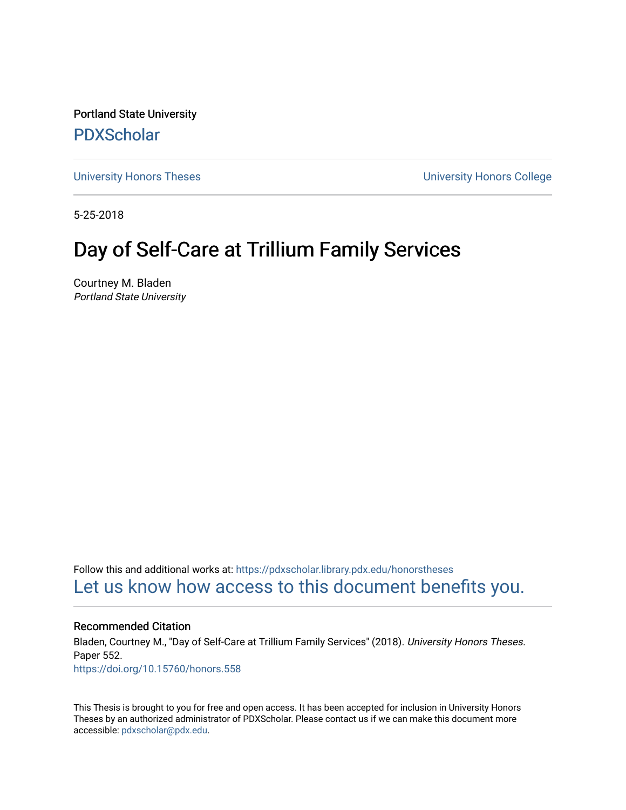Portland State University [PDXScholar](https://pdxscholar.library.pdx.edu/)

[University Honors Theses](https://pdxscholar.library.pdx.edu/honorstheses) [University Honors College](https://pdxscholar.library.pdx.edu/honors) 

5-25-2018

# Day of Self-Care at Trillium Family Services

Courtney M. Bladen Portland State University

Follow this and additional works at: [https://pdxscholar.library.pdx.edu/honorstheses](https://pdxscholar.library.pdx.edu/honorstheses?utm_source=pdxscholar.library.pdx.edu%2Fhonorstheses%2F552&utm_medium=PDF&utm_campaign=PDFCoverPages)  [Let us know how access to this document benefits you.](http://library.pdx.edu/services/pdxscholar-services/pdxscholar-feedback/) 

#### Recommended Citation

Bladen, Courtney M., "Day of Self-Care at Trillium Family Services" (2018). University Honors Theses. Paper 552. <https://doi.org/10.15760/honors.558>

This Thesis is brought to you for free and open access. It has been accepted for inclusion in University Honors Theses by an authorized administrator of PDXScholar. Please contact us if we can make this document more accessible: [pdxscholar@pdx.edu.](mailto:pdxscholar@pdx.edu)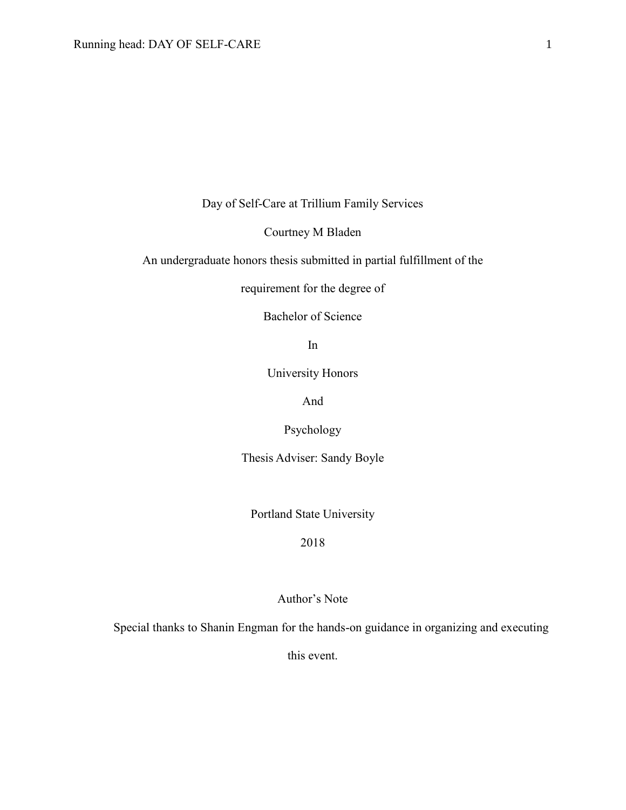Day of Self-Care at Trillium Family Services

Courtney M Bladen

An undergraduate honors thesis submitted in partial fulfillment of the

requirement for the degree of

Bachelor of Science

In

University Honors

And

Psychology

Thesis Adviser: Sandy Boyle

Portland State University

2018

Author's Note

Special thanks to Shanin Engman for the hands-on guidance in organizing and executing

this event.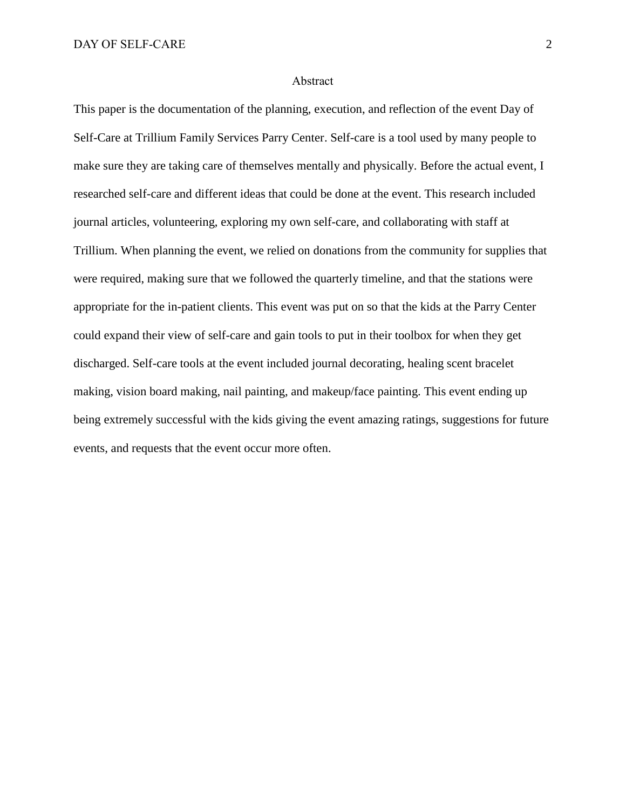#### Abstract

This paper is the documentation of the planning, execution, and reflection of the event Day of Self-Care at Trillium Family Services Parry Center. Self-care is a tool used by many people to make sure they are taking care of themselves mentally and physically. Before the actual event, I researched self-care and different ideas that could be done at the event. This research included journal articles, volunteering, exploring my own self-care, and collaborating with staff at Trillium. When planning the event, we relied on donations from the community for supplies that were required, making sure that we followed the quarterly timeline, and that the stations were appropriate for the in-patient clients. This event was put on so that the kids at the Parry Center could expand their view of self-care and gain tools to put in their toolbox for when they get discharged. Self-care tools at the event included journal decorating, healing scent bracelet making, vision board making, nail painting, and makeup/face painting. This event ending up being extremely successful with the kids giving the event amazing ratings, suggestions for future events, and requests that the event occur more often.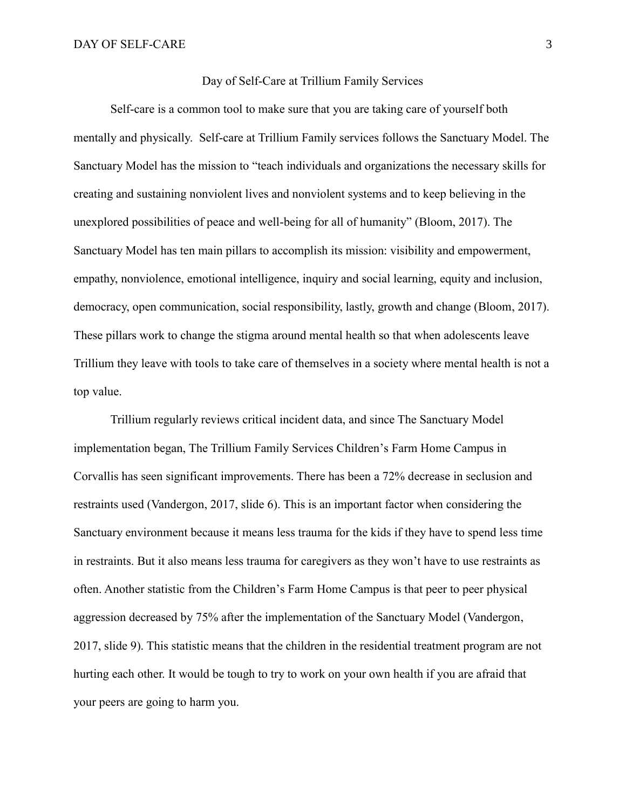#### Day of Self-Care at Trillium Family Services

Self-care is a common tool to make sure that you are taking care of yourself both mentally and physically. Self-care at Trillium Family services follows the Sanctuary Model. The Sanctuary Model has the mission to "teach individuals and organizations the necessary skills for creating and sustaining nonviolent lives and nonviolent systems and to keep believing in the unexplored possibilities of peace and well-being for all of humanity" (Bloom, 2017). The Sanctuary Model has ten main pillars to accomplish its mission: visibility and empowerment, empathy, nonviolence, emotional intelligence, inquiry and social learning, equity and inclusion, democracy, open communication, social responsibility, lastly, growth and change (Bloom, 2017). These pillars work to change the stigma around mental health so that when adolescents leave Trillium they leave with tools to take care of themselves in a society where mental health is not a top value.

Trillium regularly reviews critical incident data, and since The Sanctuary Model implementation began, The Trillium Family Services Children's Farm Home Campus in Corvallis has seen significant improvements. There has been a 72% decrease in seclusion and restraints used (Vandergon, 2017, slide 6). This is an important factor when considering the Sanctuary environment because it means less trauma for the kids if they have to spend less time in restraints. But it also means less trauma for caregivers as they won't have to use restraints as often. Another statistic from the Children's Farm Home Campus is that peer to peer physical aggression decreased by 75% after the implementation of the Sanctuary Model (Vandergon, 2017, slide 9). This statistic means that the children in the residential treatment program are not hurting each other. It would be tough to try to work on your own health if you are afraid that your peers are going to harm you.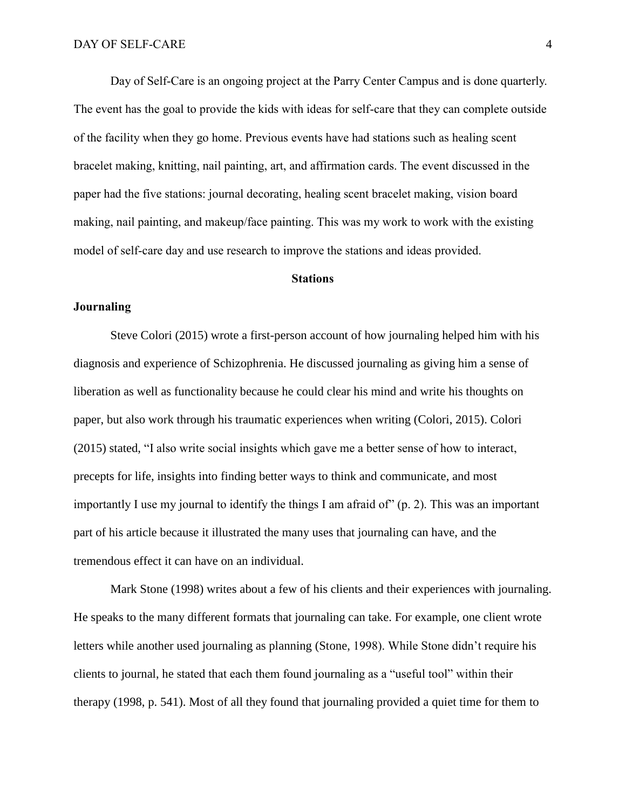Day of Self-Care is an ongoing project at the Parry Center Campus and is done quarterly. The event has the goal to provide the kids with ideas for self-care that they can complete outside of the facility when they go home. Previous events have had stations such as healing scent bracelet making, knitting, nail painting, art, and affirmation cards. The event discussed in the paper had the five stations: journal decorating, healing scent bracelet making, vision board making, nail painting, and makeup/face painting. This was my work to work with the existing model of self-care day and use research to improve the stations and ideas provided.

#### **Stations**

#### **Journaling**

Steve Colori (2015) wrote a first-person account of how journaling helped him with his diagnosis and experience of Schizophrenia. He discussed journaling as giving him a sense of liberation as well as functionality because he could clear his mind and write his thoughts on paper, but also work through his traumatic experiences when writing (Colori, 2015). Colori (2015) stated, "I also write social insights which gave me a better sense of how to interact, precepts for life, insights into finding better ways to think and communicate, and most importantly I use my journal to identify the things I am afraid of" (p. 2). This was an important part of his article because it illustrated the many uses that journaling can have, and the tremendous effect it can have on an individual.

Mark Stone (1998) writes about a few of his clients and their experiences with journaling. He speaks to the many different formats that journaling can take. For example, one client wrote letters while another used journaling as planning (Stone, 1998). While Stone didn't require his clients to journal, he stated that each them found journaling as a "useful tool" within their therapy (1998, p. 541). Most of all they found that journaling provided a quiet time for them to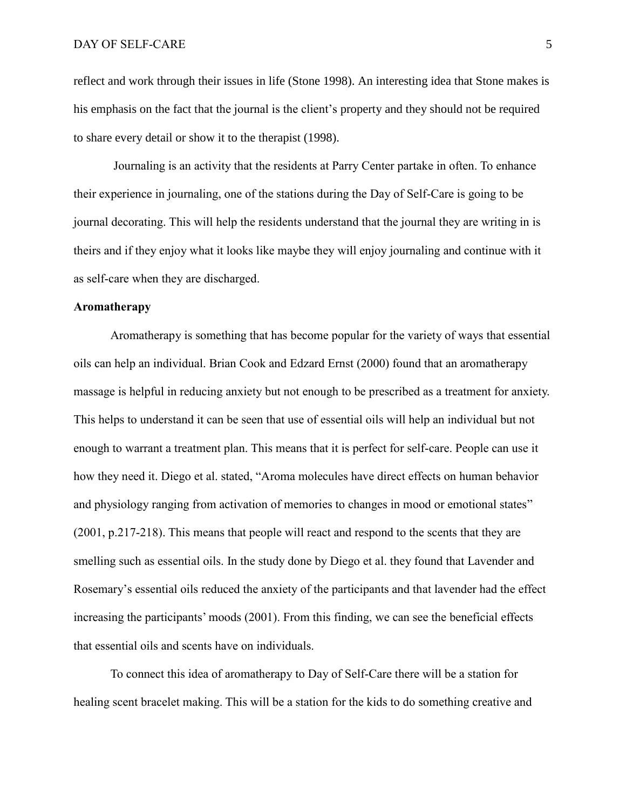reflect and work through their issues in life (Stone 1998). An interesting idea that Stone makes is his emphasis on the fact that the journal is the client's property and they should not be required to share every detail or show it to the therapist (1998).

Journaling is an activity that the residents at Parry Center partake in often. To enhance their experience in journaling, one of the stations during the Day of Self-Care is going to be journal decorating. This will help the residents understand that the journal they are writing in is theirs and if they enjoy what it looks like maybe they will enjoy journaling and continue with it as self-care when they are discharged.

#### **Aromatherapy**

Aromatherapy is something that has become popular for the variety of ways that essential oils can help an individual. Brian Cook and Edzard Ernst (2000) found that an aromatherapy massage is helpful in reducing anxiety but not enough to be prescribed as a treatment for anxiety. This helps to understand it can be seen that use of essential oils will help an individual but not enough to warrant a treatment plan. This means that it is perfect for self-care. People can use it how they need it. Diego et al. stated, "Aroma molecules have direct effects on human behavior and physiology ranging from activation of memories to changes in mood or emotional states" (2001, p.217-218). This means that people will react and respond to the scents that they are smelling such as essential oils. In the study done by Diego et al. they found that Lavender and Rosemary's essential oils reduced the anxiety of the participants and that lavender had the effect increasing the participants' moods (2001). From this finding, we can see the beneficial effects that essential oils and scents have on individuals.

To connect this idea of aromatherapy to Day of Self-Care there will be a station for healing scent bracelet making. This will be a station for the kids to do something creative and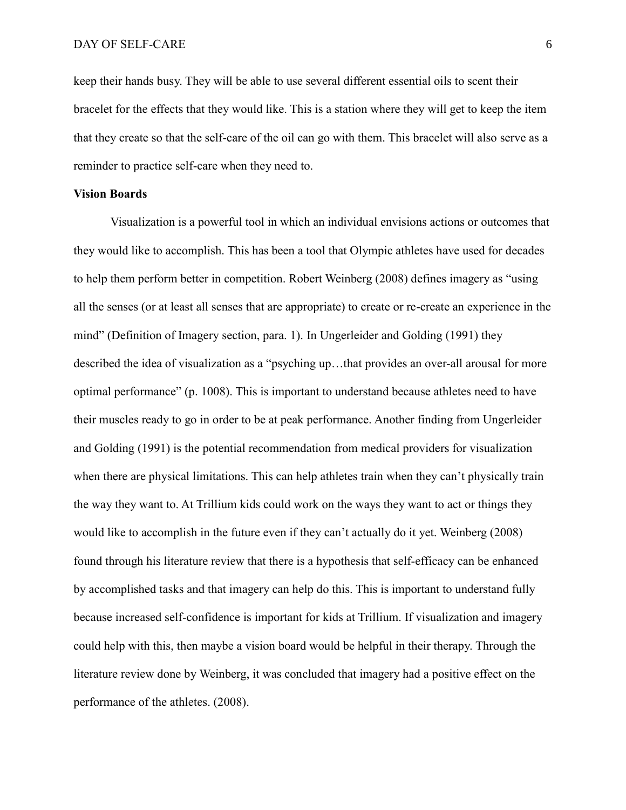#### DAY OF SELF-CARE 6

keep their hands busy. They will be able to use several different essential oils to scent their bracelet for the effects that they would like. This is a station where they will get to keep the item that they create so that the self-care of the oil can go with them. This bracelet will also serve as a reminder to practice self-care when they need to.

#### **Vision Boards**

Visualization is a powerful tool in which an individual envisions actions or outcomes that they would like to accomplish. This has been a tool that Olympic athletes have used for decades to help them perform better in competition. Robert Weinberg (2008) defines imagery as "using all the senses (or at least all senses that are appropriate) to create or re-create an experience in the mind" (Definition of Imagery section, para. 1). In Ungerleider and Golding (1991) they described the idea of visualization as a "psyching up…that provides an over-all arousal for more optimal performance" (p. 1008). This is important to understand because athletes need to have their muscles ready to go in order to be at peak performance. Another finding from Ungerleider and Golding (1991) is the potential recommendation from medical providers for visualization when there are physical limitations. This can help athletes train when they can't physically train the way they want to. At Trillium kids could work on the ways they want to act or things they would like to accomplish in the future even if they can't actually do it yet. Weinberg (2008) found through his literature review that there is a hypothesis that self-efficacy can be enhanced by accomplished tasks and that imagery can help do this. This is important to understand fully because increased self-confidence is important for kids at Trillium. If visualization and imagery could help with this, then maybe a vision board would be helpful in their therapy. Through the literature review done by Weinberg, it was concluded that imagery had a positive effect on the performance of the athletes. (2008).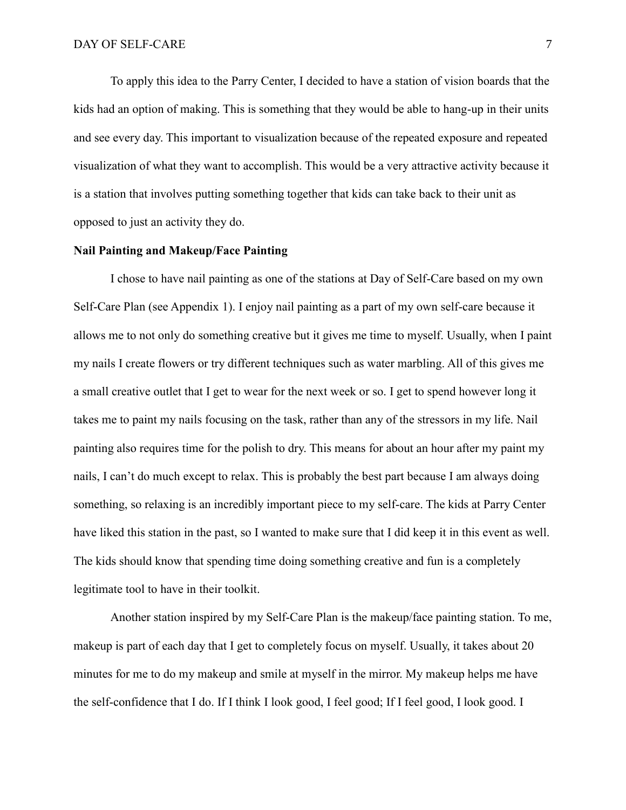To apply this idea to the Parry Center, I decided to have a station of vision boards that the kids had an option of making. This is something that they would be able to hang-up in their units and see every day. This important to visualization because of the repeated exposure and repeated visualization of what they want to accomplish. This would be a very attractive activity because it is a station that involves putting something together that kids can take back to their unit as opposed to just an activity they do.

#### **Nail Painting and Makeup/Face Painting**

I chose to have nail painting as one of the stations at Day of Self-Care based on my own Self-Care Plan (see Appendix 1). I enjoy nail painting as a part of my own self-care because it allows me to not only do something creative but it gives me time to myself. Usually, when I paint my nails I create flowers or try different techniques such as water marbling. All of this gives me a small creative outlet that I get to wear for the next week or so. I get to spend however long it takes me to paint my nails focusing on the task, rather than any of the stressors in my life. Nail painting also requires time for the polish to dry. This means for about an hour after my paint my nails, I can't do much except to relax. This is probably the best part because I am always doing something, so relaxing is an incredibly important piece to my self-care. The kids at Parry Center have liked this station in the past, so I wanted to make sure that I did keep it in this event as well. The kids should know that spending time doing something creative and fun is a completely legitimate tool to have in their toolkit.

Another station inspired by my Self-Care Plan is the makeup/face painting station. To me, makeup is part of each day that I get to completely focus on myself. Usually, it takes about 20 minutes for me to do my makeup and smile at myself in the mirror. My makeup helps me have the self-confidence that I do. If I think I look good, I feel good; If I feel good, I look good. I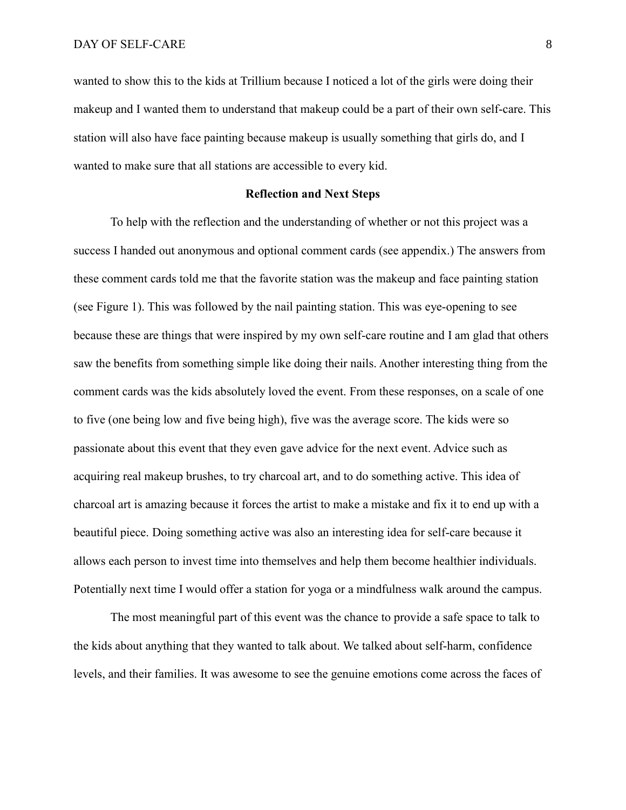wanted to show this to the kids at Trillium because I noticed a lot of the girls were doing their makeup and I wanted them to understand that makeup could be a part of their own self-care. This station will also have face painting because makeup is usually something that girls do, and I wanted to make sure that all stations are accessible to every kid.

#### **Reflection and Next Steps**

To help with the reflection and the understanding of whether or not this project was a success I handed out anonymous and optional comment cards (see appendix.) The answers from these comment cards told me that the favorite station was the makeup and face painting station (see Figure 1). This was followed by the nail painting station. This was eye-opening to see because these are things that were inspired by my own self-care routine and I am glad that others saw the benefits from something simple like doing their nails. Another interesting thing from the comment cards was the kids absolutely loved the event. From these responses, on a scale of one to five (one being low and five being high), five was the average score. The kids were so passionate about this event that they even gave advice for the next event. Advice such as acquiring real makeup brushes, to try charcoal art, and to do something active. This idea of charcoal art is amazing because it forces the artist to make a mistake and fix it to end up with a beautiful piece. Doing something active was also an interesting idea for self-care because it allows each person to invest time into themselves and help them become healthier individuals. Potentially next time I would offer a station for yoga or a mindfulness walk around the campus.

The most meaningful part of this event was the chance to provide a safe space to talk to the kids about anything that they wanted to talk about. We talked about self-harm, confidence levels, and their families. It was awesome to see the genuine emotions come across the faces of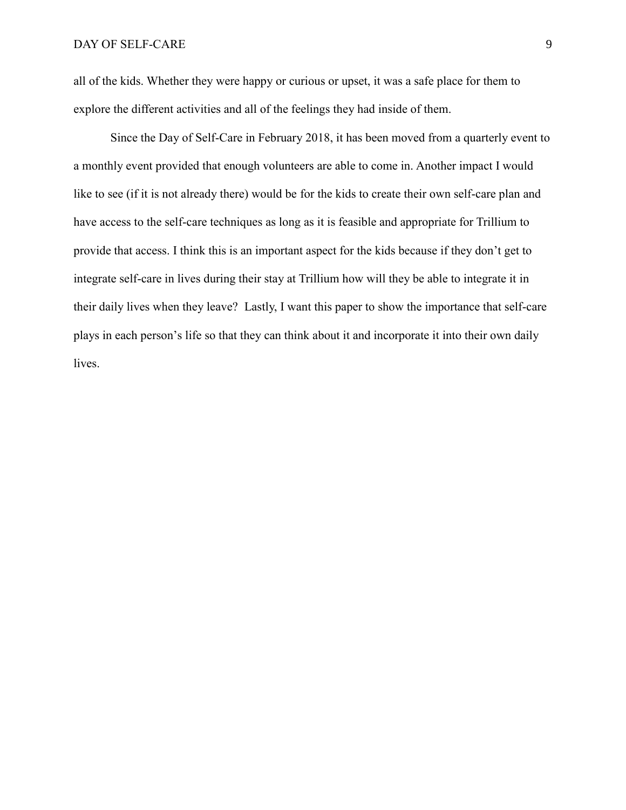all of the kids. Whether they were happy or curious or upset, it was a safe place for them to explore the different activities and all of the feelings they had inside of them.

Since the Day of Self-Care in February 2018, it has been moved from a quarterly event to a monthly event provided that enough volunteers are able to come in. Another impact I would like to see (if it is not already there) would be for the kids to create their own self-care plan and have access to the self-care techniques as long as it is feasible and appropriate for Trillium to provide that access. I think this is an important aspect for the kids because if they don't get to integrate self-care in lives during their stay at Trillium how will they be able to integrate it in their daily lives when they leave? Lastly, I want this paper to show the importance that self-care plays in each person's life so that they can think about it and incorporate it into their own daily lives.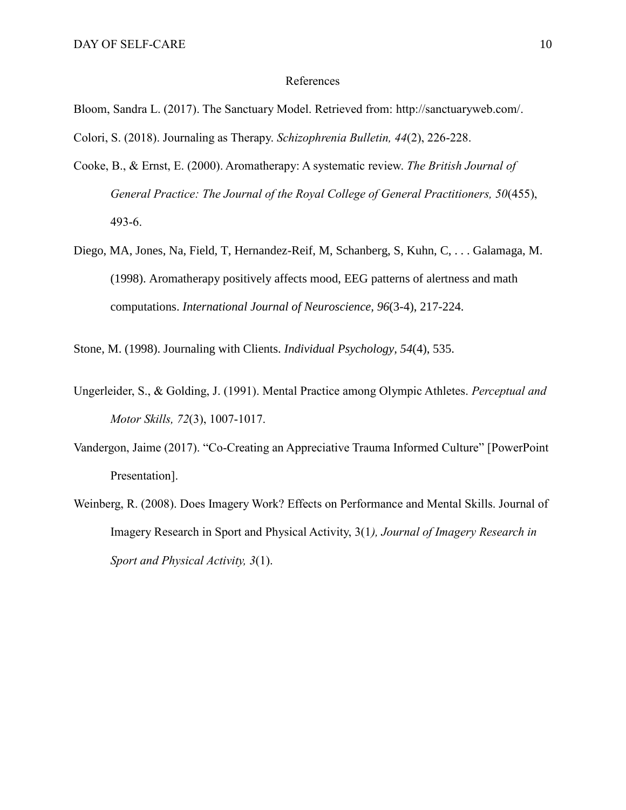#### References

Bloom, Sandra L. (2017). The Sanctuary Model. Retrieved from: http://sanctuaryweb.com/.

Colori, S. (2018). Journaling as Therapy. *Schizophrenia Bulletin, 44*(2), 226-228.

- Cooke, B., & Ernst, E. (2000). Aromatherapy: A systematic review. *The British Journal of General Practice: The Journal of the Royal College of General Practitioners, 50*(455), 493-6.
- Diego, MA, Jones, Na, Field, T, Hernandez-Reif, M, Schanberg, S, Kuhn, C, . . . Galamaga, M. (1998). Aromatherapy positively affects mood, EEG patterns of alertness and math computations. *International Journal of Neuroscience, 96*(3-4), 217-224.

Stone, M. (1998). Journaling with Clients. *Individual Psychology, 54*(4), 535.

- Ungerleider, S., & Golding, J. (1991). Mental Practice among Olympic Athletes. *Perceptual and Motor Skills, 72*(3), 1007-1017.
- Vandergon, Jaime (2017). "Co-Creating an Appreciative Trauma Informed Culture" [PowerPoint Presentation].
- Weinberg, R. (2008). Does Imagery Work? Effects on Performance and Mental Skills. Journal of Imagery Research in Sport and Physical Activity, 3(1*), Journal of Imagery Research in Sport and Physical Activity, 3*(1).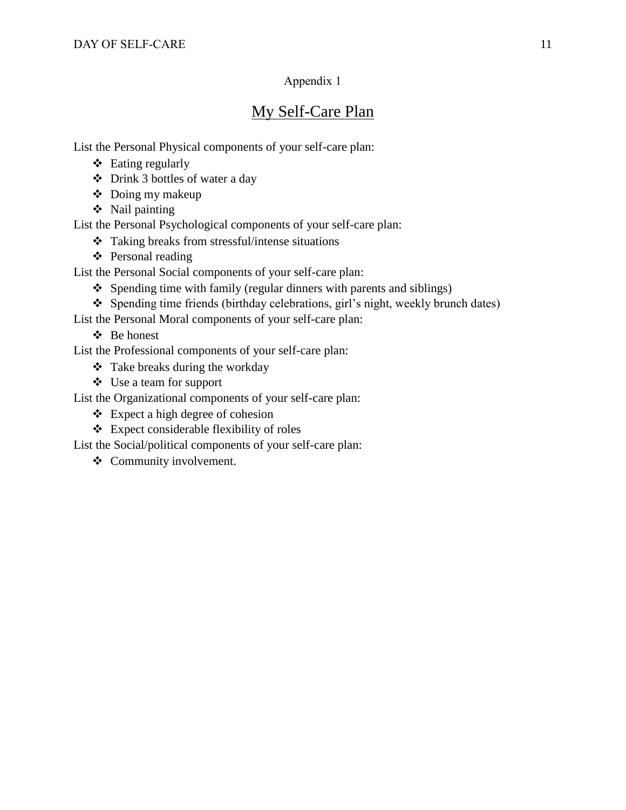### Appendix 1

## My Self-Care Plan

List the Personal Physical components of your self-care plan:

- ❖ Eating regularly
- ❖ Drink 3 bottles of water a day
- ❖ Doing my makeup
- ❖ Nail painting

List the Personal Psychological components of your self-care plan:

- ❖ Taking breaks from stressful/intense situations
- ❖ Personal reading

List the Personal Social components of your self-care plan:

- ❖ Spending time with family (regular dinners with parents and siblings)
- ❖ Spending time friends (birthday celebrations, girl's night, weekly brunch dates)

List the Personal Moral components of your self-care plan:

❖ Be honest

List the Professional components of your self-care plan:

- ❖ Take breaks during the workday
- ❖ Use a team for support

List the Organizational components of your self-care plan:

- ❖ Expect a high degree of cohesion
- ❖ Expect considerable flexibility of roles

List the Social/political components of your self-care plan:

❖ Community involvement.